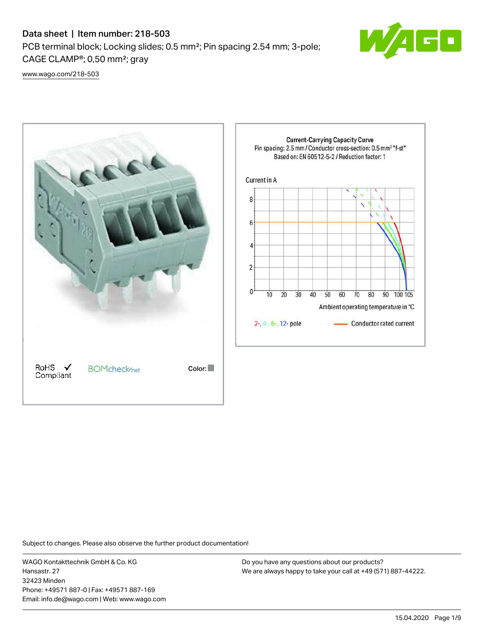# Data sheet | Item number: 218-503

PCB terminal block; Locking slides; 0.5 mm²; Pin spacing 2.54 mm; 3-pole; CAGE CLAMP®; 0,50 mm²; gray



[www.wago.com/218-503](http://www.wago.com/218-503)



Subject to changes. Please also observe the further product documentation!

WAGO Kontakttechnik GmbH & Co. KG Hansastr. 27 32423 Minden Phone: +49571 887-0 | Fax: +49571 887-169 Email: info.de@wago.com | Web: www.wago.com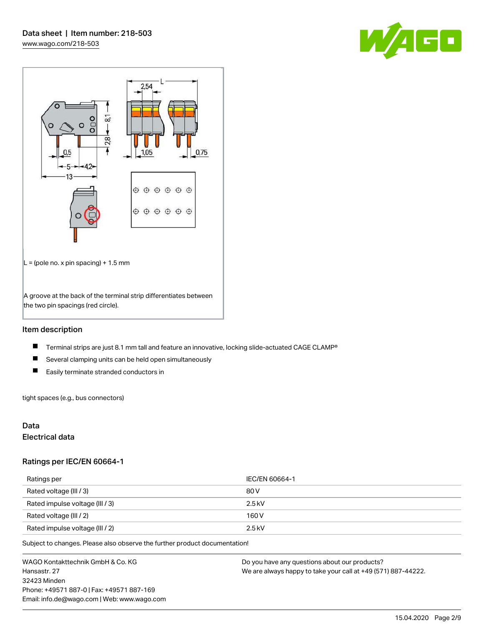



## Item description

- $\blacksquare$ Terminal strips are just 8.1 mm tall and feature an innovative, locking slide-actuated CAGE CLAMP®
- $\blacksquare$ Several clamping units can be held open simultaneously
- $\blacksquare$ Easily terminate stranded conductors in

tight spaces (e.g., bus connectors)

## Data

# Electrical data

### Ratings per IEC/EN 60664-1

| Ratings per                     | IEC/EN 60664-1 |
|---------------------------------|----------------|
| Rated voltage (III / 3)         | 80 V           |
| Rated impulse voltage (III / 3) | $2.5$ kV       |
| Rated voltage (III / 2)         | 160 V          |
| Rated impulse voltage (III / 2) | $2.5$ kV       |

Subject to changes. Please also observe the further product documentation!

WAGO Kontakttechnik GmbH & Co. KG Hansastr. 27 32423 Minden Phone: +49571 887-0 | Fax: +49571 887-169 Email: info.de@wago.com | Web: www.wago.com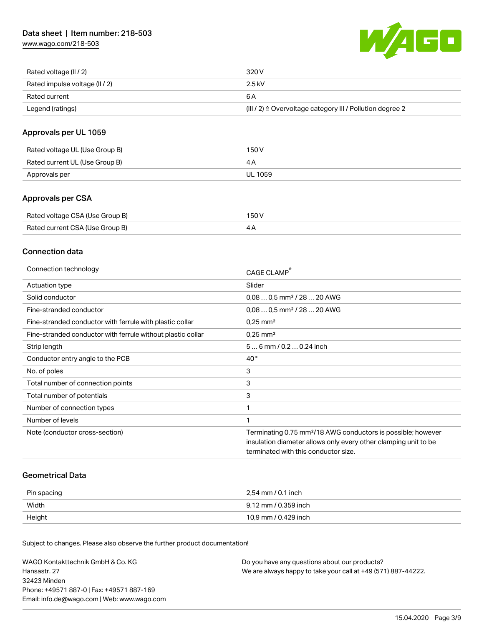[www.wago.com/218-503](http://www.wago.com/218-503)



| Rated voltage (II / 2)         | 320 V                                                                 |
|--------------------------------|-----------------------------------------------------------------------|
| Rated impulse voltage (II / 2) | 2.5 kV                                                                |
| Rated current                  | 6 A                                                                   |
| Legend (ratings)               | $(III / 2)$ $\triangle$ Overvoltage category III / Pollution degree 2 |

# Approvals per UL 1059

| Rated voltage UL (Use Group B) | 150 V   |
|--------------------------------|---------|
| Rated current UL (Use Group B) |         |
| Approvals per                  | UL 1059 |

## Approvals per CSA

| Rated voltage CSA (Use Group B) | 150 V |
|---------------------------------|-------|
| Rated current CSA (Use Group B) |       |

## Connection data

| Connection technology                                       | CAGE CLAMP <sup>®</sup>                                                                                 |
|-------------------------------------------------------------|---------------------------------------------------------------------------------------------------------|
| Actuation type                                              | Slider                                                                                                  |
| Solid conductor                                             | $0.080.5$ mm <sup>2</sup> / 28  20 AWG                                                                  |
| Fine-stranded conductor                                     | $0.080.5$ mm <sup>2</sup> / 28  20 AWG                                                                  |
| Fine-stranded conductor with ferrule with plastic collar    | $0.25$ mm <sup>2</sup>                                                                                  |
| Fine-stranded conductor with ferrule without plastic collar | $0.25$ mm <sup>2</sup>                                                                                  |
| Strip length                                                | $56$ mm $/ 0.20.24$ inch                                                                                |
| Conductor entry angle to the PCB                            | $40^{\circ}$                                                                                            |
| No. of poles                                                | 3                                                                                                       |
| Total number of connection points                           | 3                                                                                                       |
| Total number of potentials                                  | 3                                                                                                       |
| Number of connection types                                  | 1                                                                                                       |
| Number of levels                                            | 1                                                                                                       |
| Note (conductor cross-section)                              | Terminating 0.75 mm <sup>2</sup> /18 AWG conductors is possible; however                                |
|                                                             | insulation diameter allows only every other clamping unit to be<br>terminated with this conductor size. |
|                                                             |                                                                                                         |

### Geometrical Data

| Pin spacing | 2,54 mm / 0.1 inch   |
|-------------|----------------------|
| Width       | 9.12 mm / 0.359 inch |
| Height      | 10,9 mm / 0.429 inch |

Subject to changes. Please also observe the further product documentation!

| WAGO Kontakttechnik GmbH & Co. KG           | Do you have any questions about our products?                 |
|---------------------------------------------|---------------------------------------------------------------|
| Hansastr. 27                                | We are always happy to take your call at +49 (571) 887-44222. |
| 32423 Minden                                |                                                               |
| Phone: +49571 887-01 Fax: +49571 887-169    |                                                               |
| Email: info.de@wago.com   Web: www.wago.com |                                                               |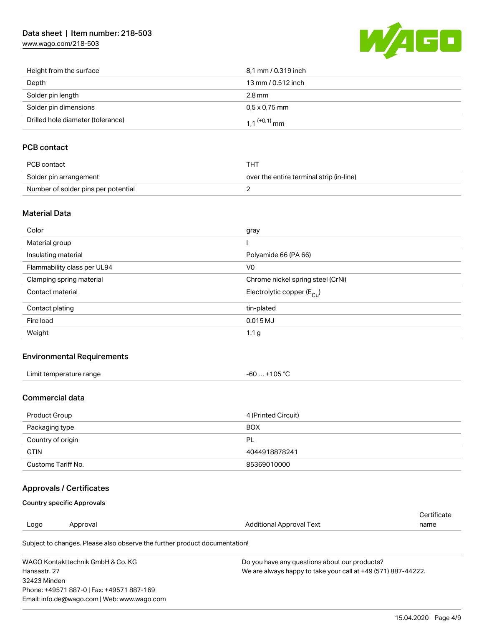# Data sheet | Item number: 218-503

[www.wago.com/218-503](http://www.wago.com/218-503)



| Height from the surface           | 8,1 mm / 0.319 inch        |
|-----------------------------------|----------------------------|
| Depth                             | 13 mm / 0.512 inch         |
| Solder pin length                 | 2.8 mm                     |
| Solder pin dimensions             | $0.5 \times 0.75$ mm       |
| Drilled hole diameter (tolerance) | $1.1$ <sup>(+0,1)</sup> mm |

# PCB contact

| PCB contact                         | тнт                                      |
|-------------------------------------|------------------------------------------|
| Solder pin arrangement              | over the entire terminal strip (in-line) |
| Number of solder pins per potential |                                          |

### Material Data

| Color                       | gray                                  |
|-----------------------------|---------------------------------------|
| Material group              |                                       |
| Insulating material         | Polyamide 66 (PA 66)                  |
| Flammability class per UL94 | V <sub>0</sub>                        |
| Clamping spring material    | Chrome nickel spring steel (CrNi)     |
| Contact material            | Electrolytic copper $(E_{\text{Cu}})$ |
| Contact plating             | tin-plated                            |
| Fire load                   | $0.015$ MJ                            |
| Weight                      | 1.1 <sub>g</sub>                      |

## Environmental Requirements

| Limit temperature range | +105 °C<br>-60 |  |
|-------------------------|----------------|--|
|-------------------------|----------------|--|

### Commercial data

| Product Group      | 4 (Printed Circuit) |
|--------------------|---------------------|
| Packaging type     | <b>BOX</b>          |
| Country of origin  | - PL                |
| <b>GTIN</b>        | 4044918878241       |
| Customs Tariff No. | 85369010000         |

# Approvals / Certificates

### Country specific Approvals

Email: info.de@wago.com | Web: www.wago.com

|                                           |                                                                            |                                                               | Certificate |  |
|-------------------------------------------|----------------------------------------------------------------------------|---------------------------------------------------------------|-------------|--|
| Logo                                      | Approval                                                                   | <b>Additional Approval Text</b>                               | name        |  |
|                                           | Subject to changes. Please also observe the further product documentation! |                                                               |             |  |
|                                           | WAGO Kontakttechnik GmbH & Co. KG                                          | Do you have any questions about our products?                 |             |  |
| Hansastr, 27                              |                                                                            | We are always happy to take your call at +49 (571) 887-44222. |             |  |
| 32423 Minden                              |                                                                            |                                                               |             |  |
| Phone: +49571 887-0   Fax: +49571 887-169 |                                                                            |                                                               |             |  |

15.04.2020 Page 4/9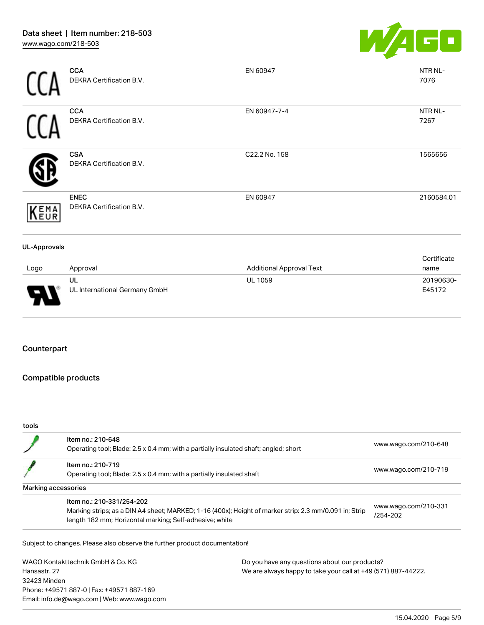

|                     | <b>CCA</b><br>DEKRA Certification B.V.  | EN 60947                        | NTR NL-<br>7076     |
|---------------------|-----------------------------------------|---------------------------------|---------------------|
|                     | <b>CCA</b><br>DEKRA Certification B.V.  | EN 60947-7-4                    | NTR NL-<br>7267     |
|                     | <b>CSA</b><br>DEKRA Certification B.V.  | C22.2 No. 158                   | 1565656             |
| KEMA                | <b>ENEC</b><br>DEKRA Certification B.V. | EN 60947                        | 2160584.01          |
| <b>UL-Approvals</b> |                                         |                                 |                     |
| Logo                | Approval                                | <b>Additional Approval Text</b> | Certificate<br>name |
|                     | UL                                      | <b>UL 1059</b>                  | 20190630-           |

# Counterpart

# Compatible products

UL International Germany GmbH

Phone: +49571 887-0 | Fax: +49571 887-169 Email: info.de@wago.com | Web: www.wago.com

#### tools

|                                   | Item no.: 210-648<br>Operating tool; Blade: 2.5 x 0.4 mm; with a partially insulated shaft; angled; short |                                                               | www.wago.com/210-648                 |  |
|-----------------------------------|-----------------------------------------------------------------------------------------------------------|---------------------------------------------------------------|--------------------------------------|--|
|                                   | Item no.: 210-719                                                                                         |                                                               |                                      |  |
|                                   | Operating tool; Blade: 2.5 x 0.4 mm; with a partially insulated shaft                                     |                                                               | www.wago.com/210-719                 |  |
|                                   | Marking accessories                                                                                       |                                                               |                                      |  |
|                                   | Item no.: 210-331/254-202                                                                                 |                                                               |                                      |  |
|                                   | Marking strips; as a DIN A4 sheet; MARKED; 1-16 (400x); Height of marker strip: 2.3 mm/0.091 in; Strip    |                                                               | www.wago.com/210-331<br>$/254 - 202$ |  |
|                                   | length 182 mm; Horizontal marking; Self-adhesive; white                                                   |                                                               |                                      |  |
|                                   | Subject to changes. Please also observe the further product documentation!                                |                                                               |                                      |  |
| WAGO Kontakttechnik GmbH & Co. KG |                                                                                                           | Do you have any questions about our products?                 |                                      |  |
| Hansastr, 27                      |                                                                                                           | We are always happy to take your call at +49 (571) 887-44222. |                                      |  |
| 32423 Minden                      |                                                                                                           |                                                               |                                      |  |

15.04.2020 Page 5/9

E45172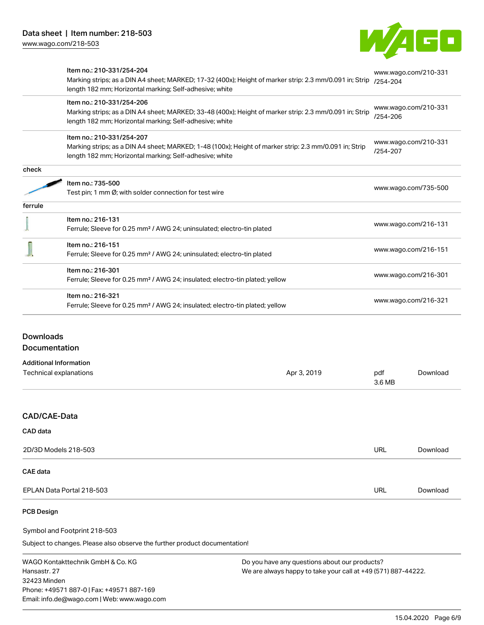

|         | Item no.: 210-331/254-204<br>Marking strips; as a DIN A4 sheet; MARKED; 17-32 (400x); Height of marker strip: 2.3 mm/0.091 in; Strip<br>length 182 mm; Horizontal marking; Self-adhesive; white | www.wago.com/210-331<br>/254-204 |  |
|---------|-------------------------------------------------------------------------------------------------------------------------------------------------------------------------------------------------|----------------------------------|--|
|         | Item no.: 210-331/254-206<br>Marking strips; as a DIN A4 sheet; MARKED; 33-48 (400x); Height of marker strip: 2.3 mm/0.091 in; Strip<br>length 182 mm; Horizontal marking; Self-adhesive; white | www.wago.com/210-331<br>/254-206 |  |
|         | Item no.: 210-331/254-207<br>Marking strips; as a DIN A4 sheet; MARKED; 1-48 (100x); Height of marker strip: 2.3 mm/0.091 in; Strip<br>length 182 mm; Horizontal marking; Self-adhesive; white  | www.wago.com/210-331<br>/254-207 |  |
| check   |                                                                                                                                                                                                 |                                  |  |
|         | Item no.: 735-500<br>Test pin; 1 mm Ø; with solder connection for test wire                                                                                                                     | www.wago.com/735-500             |  |
| ferrule |                                                                                                                                                                                                 |                                  |  |
|         | Item no.: 216-131<br>Ferrule; Sleeve for 0.25 mm <sup>2</sup> / AWG 24; uninsulated; electro-tin plated                                                                                         | www.wago.com/216-131             |  |
|         | Item no.: 216-151<br>Ferrule; Sleeve for 0.25 mm <sup>2</sup> / AWG 24; uninsulated; electro-tin plated                                                                                         | www.wago.com/216-151             |  |
|         | Item no.: 216-301<br>Ferrule; Sleeve for 0.25 mm <sup>2</sup> / AWG 24; insulated; electro-tin plated; yellow                                                                                   | www.wago.com/216-301             |  |
|         | Item no.: 216-321<br>Ferrule; Sleeve for 0.25 mm <sup>2</sup> / AWG 24; insulated; electro-tin plated; yellow                                                                                   | www.wago.com/216-321             |  |
|         |                                                                                                                                                                                                 |                                  |  |

# Downloads **Documentation**

Additional Information

| Technical explanations | Apr 3, 2019 | pdf<br>3.6 MB | Download |
|------------------------|-------------|---------------|----------|
|                        |             |               |          |
| CAD/CAE-Data           |             |               |          |
| CAD data               |             |               |          |
| 2D/3D Models 218-503   |             | <b>URL</b>    | Download |
| CAE data               |             |               |          |

EPLAN Data Portal 218-503 URL [Download](https://www.wago.com/de/d/EPLAN_URLS_218-503)

# PCB Design

Symbol and Footprint 218-503

Subject to changes. Please also observe the further product documentation!

WAGO Kontakttechnik GmbH & Co. KG Hansastr. 27 32423 Minden Phone: +49571 887-0 | Fax: +49571 887-169 Email: info.de@wago.com | Web: www.wago.com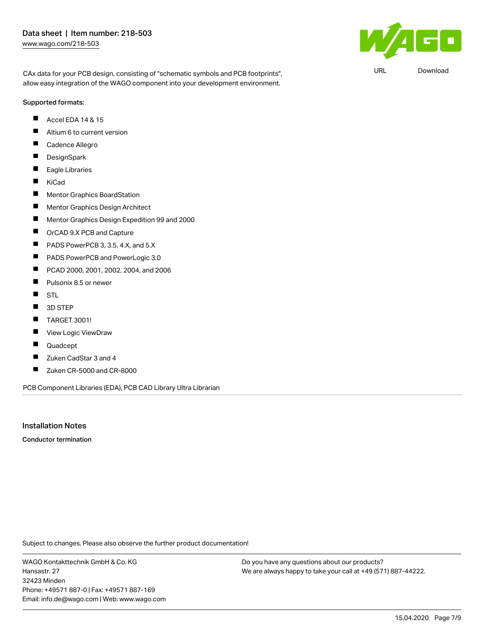$\mathbf{F}$ 

URL [Download](https://www.wago.com/de/d/UltraLibrarian_URLS_218-503)

CAx data for your PCB design, consisting of "schematic symbols and PCB footprints", allow easy integration of the WAGO component into your development environment.

#### Supported formats:

- Accel EDA 14 & 15 П
- $\blacksquare$ Altium 6 to current version
- Г Cadence Allegro
- $\blacksquare$ **DesignSpark**
- $\blacksquare$ Eagle Libraries
- $\blacksquare$ KiCad
- $\blacksquare$ Mentor Graphics BoardStation
- П Mentor Graphics Design Architect
- $\blacksquare$ Mentor Graphics Design Expedition 99 and 2000
- $\blacksquare$ OrCAD 9.X PCB and Capture
- П PADS PowerPCB 3, 3.5, 4.X, and 5.X
- $\blacksquare$ PADS PowerPCB and PowerLogic 3.0
- П PCAD 2000, 2001, 2002, 2004, and 2006
- $\blacksquare$ Pulsonix 8.5 or newer
- $\blacksquare$ STL
- $\blacksquare$ 3D STEP
- П TARGET 3001!
- П View Logic ViewDraw
- $\blacksquare$ Quadcept
- $\blacksquare$ Zuken CadStar 3 and 4
- $\blacksquare$ Zuken CR-5000 and CR-8000

PCB Component Libraries (EDA), PCB CAD Library Ultra Librarian

## Installation Notes

Conductor termination

Subject to changes. Please also observe the further product documentation!

WAGO Kontakttechnik GmbH & Co. KG Hansastr. 27 32423 Minden Phone: +49571 887-0 | Fax: +49571 887-169 Email: info.de@wago.com | Web: www.wago.com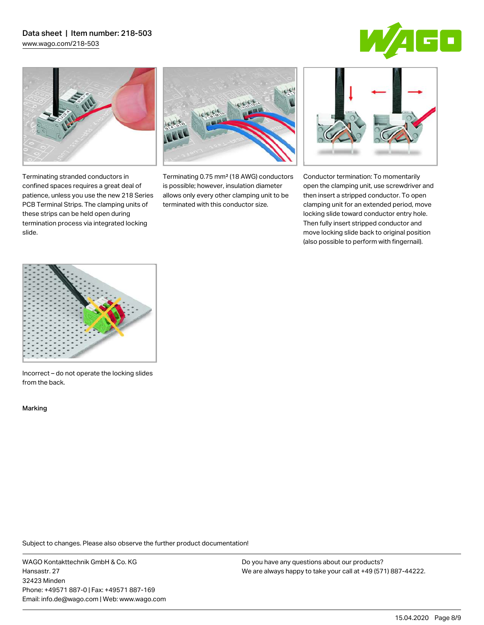# Data sheet | Item number: 218-503

[www.wago.com/218-503](http://www.wago.com/218-503)







Terminating stranded conductors in confined spaces requires a great deal of patience, unless you use the new 218 Series PCB Terminal Strips. The clamping units of these strips can be held open during termination process via integrated locking slide.

Terminating 0.75 mm² (18 AWG) conductors is possible; however, insulation diameter allows only every other clamping unit to be terminated with this conductor size.



Conductor termination: To momentarily open the clamping unit, use screwdriver and then insert a stripped conductor. To open clamping unit for an extended period, move locking slide toward conductor entry hole. Then fully insert stripped conductor and move locking slide back to original position (also possible to perform with fingernail).



Incorrect – do not operate the locking slides from the back.

Marking

Subject to changes. Please also observe the further product documentation!

WAGO Kontakttechnik GmbH & Co. KG Hansastr. 27 32423 Minden Phone: +49571 887-0 | Fax: +49571 887-169 Email: info.de@wago.com | Web: www.wago.com